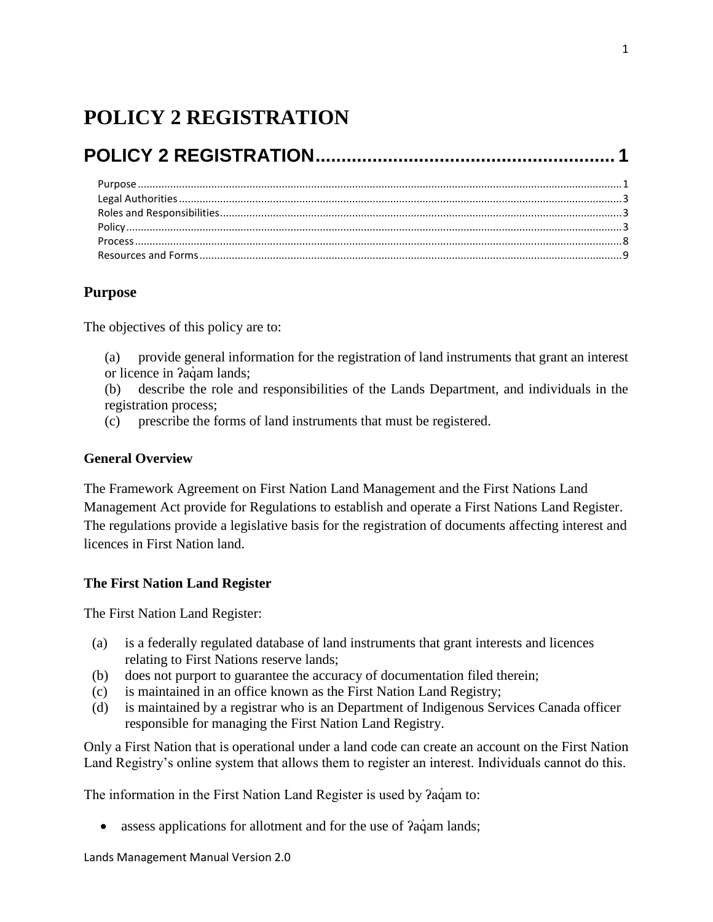# <span id="page-0-0"></span>**POLICY 2 REGISTRATION**

# **[POLICY 2 REGISTRATION..........................................................](#page-0-0) 1**

# <span id="page-0-1"></span>**Purpose**

The objectives of this policy are to:

(a) provide general information for the registration of land instruments that grant an interest or licence in *?aqam lands*;

(b) describe the role and responsibilities of the Lands Department, and individuals in the registration process;

(c) prescribe the forms of land instruments that must be registered.

# **General Overview**

The Framework Agreement on First Nation Land Management and the First Nations Land Management Act provide for Regulations to establish and operate a First Nations Land Register. The regulations provide a legislative basis for the registration of documents affecting interest and licences in First Nation land.

# **The First Nation Land Register**

The First Nation Land Register:

- (a) is a federally regulated database of land instruments that grant interests and licences relating to First Nations reserve lands;
- (b) does not purport to guarantee the accuracy of documentation filed therein;
- (c) is maintained in an office known as the First Nation Land Registry;
- (d) is maintained by a registrar who is an Department of Indigenous Services Canada officer responsible for managing the First Nation Land Registry.

Only a First Nation that is operational under a land code can create an account on the First Nation Land Registry's online system that allows them to register an interest. Individuals cannot do this.

The information in the First Nation Land Register is used by  $2aq$  am to:

• assess applications for allotment and for the use of  $2aq<sub>am</sub>$  lands;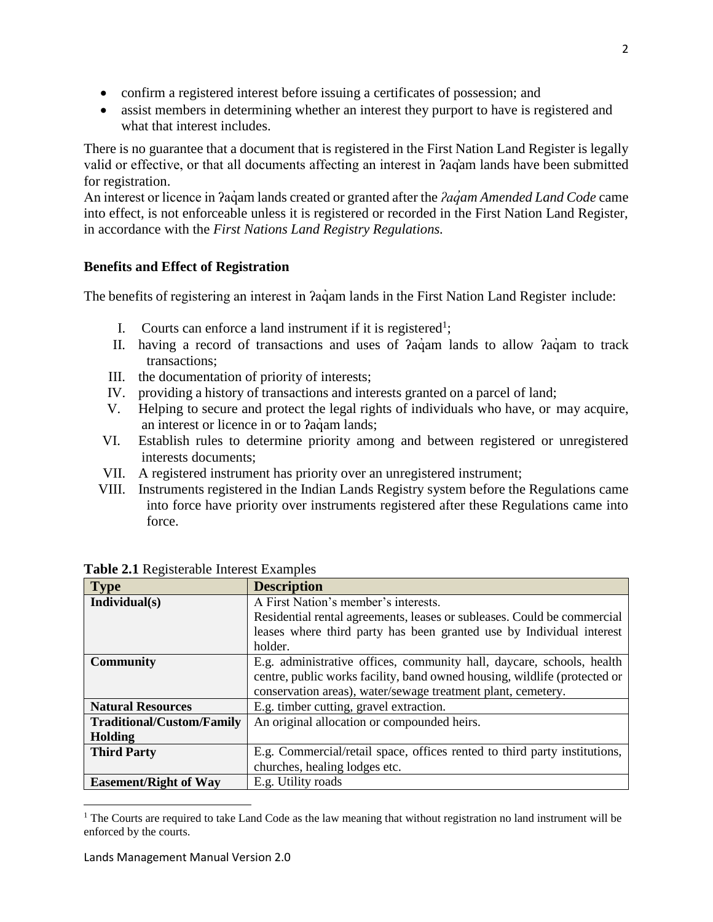- confirm a registered interest before issuing a certificates of possession; and
- assist members in determining whether an interest they purport to have is registered and what that interest includes.

There is no guarantee that a document that is registered in the First Nation Land Register is legally valid or effective, or that all documents affecting an interest in ʔaq̓am lands have been submitted for registration.

An interest or licence in ʔaq̓ am lands created or granted after the *ʔaq̓am Amended Land Code* came into effect, is not enforceable unless it is registered or recorded in the First Nation Land Register, in accordance with the *First Nations Land Registry Regulations.*

# **Benefits and Effect of Registration**

The benefits of registering an interest in  $2a\ddot{a}$  am lands in the First Nation Land Register include:

- I. Courts can enforce a land instrument if it is registered<sup>1</sup>;
- II. having a record of transactions and uses of  $2aq<sub>am</sub>$  lands to allow  $2aq<sub>am</sub>$  to track transactions;
- III. the documentation of priority of interests;
- IV. providing a history of transactions and interests granted on a parcel of land;
- V. Helping to secure and protect the legal rights of individuals who have, or may acquire, an interest or licence in or to *Pagam lands*;
- VI. Establish rules to determine priority among and between registered or unregistered interests documents;
- VII. A registered instrument has priority over an unregistered instrument;
- VIII. Instruments registered in the Indian Lands Registry system before the Regulations came into force have priority over instruments registered after these Regulations came into force.

| <b>Type</b>                      | <b>Description</b>                                                        |  |  |
|----------------------------------|---------------------------------------------------------------------------|--|--|
| Individual(s)                    | A First Nation's member's interests.                                      |  |  |
|                                  | Residential rental agreements, leases or subleases. Could be commercial   |  |  |
|                                  | leases where third party has been granted use by Individual interest      |  |  |
|                                  | holder.                                                                   |  |  |
| <b>Community</b>                 | E.g. administrative offices, community hall, daycare, schools, health     |  |  |
|                                  | centre, public works facility, band owned housing, wildlife (protected or |  |  |
|                                  | conservation areas), water/sewage treatment plant, cemetery.              |  |  |
| <b>Natural Resources</b>         | E.g. timber cutting, gravel extraction.                                   |  |  |
| <b>Traditional/Custom/Family</b> | An original allocation or compounded heirs.                               |  |  |
| Holding                          |                                                                           |  |  |
| <b>Third Party</b>               | E.g. Commercial/retail space, offices rented to third party institutions, |  |  |
|                                  | churches, healing lodges etc.                                             |  |  |
| <b>Easement/Right of Way</b>     | E.g. Utility roads                                                        |  |  |

**Table 2.1** Registerable Interest Examples

 $\overline{\phantom{a}}$  $1$  The Courts are required to take Land Code as the law meaning that without registration no land instrument will be enforced by the courts.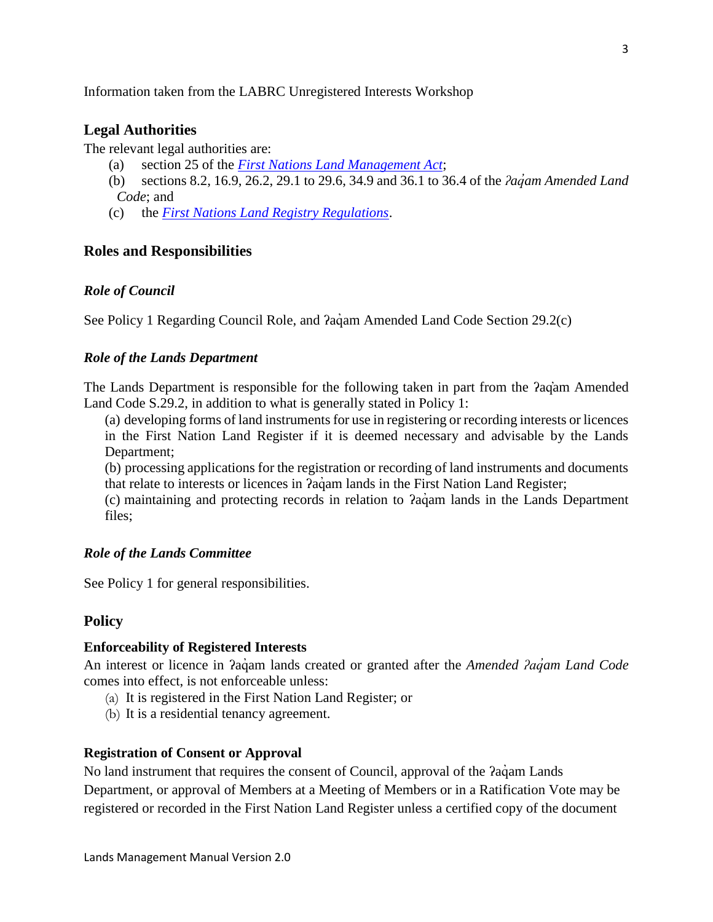<span id="page-2-0"></span>Information taken from the LABRC Unregistered Interests Workshop

# **Legal Authorities**

The relevant legal authorities are:

- (a) section 25 of the *[First Nations Land Management Act](https://laws-lois.justice.gc.ca/eng/acts/F-11.8/)*;
- (b) sections 8.2, 16.9, 26.2, 29.1 to 29.6, 34.9 and 36.1 to 36.4 of the *ʔaq̓am Amended Land Code*; and
- (c) the *[First Nations Land Registry Regulations](https://laws-lois.justice.gc.ca/eng/regulations/SOR-2007-231/FullText.html)*.

## <span id="page-2-1"></span>**Roles and Responsibilities**

### *Role of Council*

See Policy 1 Regarding Council Role, and *Pagam Amended Land Code Section 29.2(c)* 

## *Role of the Lands Department*

The Lands Department is responsible for the following taken in part from the ʔaq̓am Amended Land Code S.29.2, in addition to what is generally stated in Policy 1:

(a) developing forms of land instruments for use in registering or recording interests or licences in the First Nation Land Register if it is deemed necessary and advisable by the Lands Department;

(b) processing applications for the registration or recording of land instruments and documents that relate to interests or licences in *?aqam lands in the First Nation Land Register*;

(c) maintaining and protecting records in relation to ʔaq̓ am lands in the Lands Department files;

#### *Role of the Lands Committee*

See Policy 1 for general responsibilities.

### <span id="page-2-2"></span>**Policy**

#### **Enforceability of Registered Interests**

An interest or licence in *?aq*uam lands created or granted after the *Amended ?aquam Land Code* comes into effect, is not enforceable unless:

- (a) It is registered in the First Nation Land Register; or
- (b) It is a residential tenancy agreement.

#### **Registration of Consent or Approval**

No land instrument that requires the consent of Council, approval of the  $\hat{a}$  agam Lands Department, or approval of Members at a Meeting of Members or in a Ratification Vote may be registered or recorded in the First Nation Land Register unless a certified copy of the document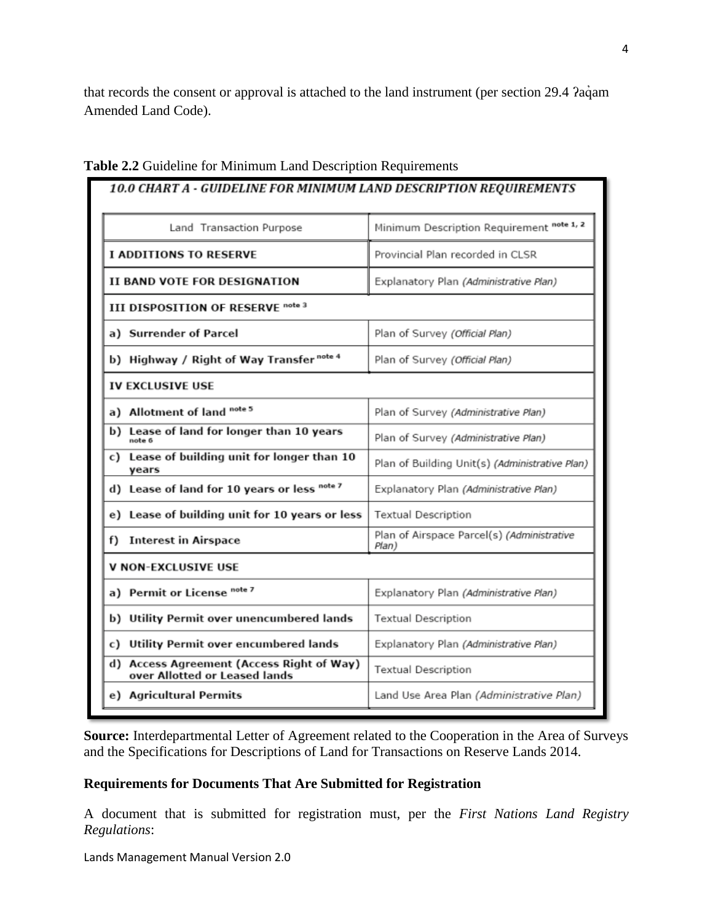that records the consent or approval is attached to the land instrument (per section 29.4  $2$ a $\dot{q}$ am Amended Land Code).

| Land Transaction Purpose                                                   | Minimum Description Requirement note 1, 2           |  |
|----------------------------------------------------------------------------|-----------------------------------------------------|--|
| <b>I ADDITIONS TO RESERVE</b>                                              | Provincial Plan recorded in CLSR                    |  |
| II BAND VOTE FOR DESIGNATION                                               | Explanatory Plan (Administrative Plan)              |  |
| III DISPOSITION OF RESERVE note 3                                          |                                                     |  |
| a) Surrender of Parcel                                                     | Plan of Survey (Official Plan)                      |  |
| b) Highway / Right of Way Transfer note 4                                  | Plan of Survey (Official Plan)                      |  |
| <b>IV EXCLUSIVE USE</b>                                                    |                                                     |  |
| a) Allotment of land note 5                                                | Plan of Survey (Administrative Plan)                |  |
| b) Lease of land for longer than 10 years<br>note 6                        | Plan of Survey (Administrative Plan)                |  |
| c) Lease of building unit for longer than 10<br>years                      | Plan of Building Unit(s) (Administrative Plan)      |  |
| d) Lease of land for 10 years or less note 7                               | Explanatory Plan (Administrative Plan)              |  |
| e) Lease of building unit for 10 years or less                             | <b>Textual Description</b>                          |  |
| f) Interest in Airspace                                                    | Plan of Airspace Parcel(s) (Administrative<br>Plan) |  |
| V NON-EXCLUSIVE USE                                                        |                                                     |  |
| a) Permit or License <sup>note 7</sup>                                     | Explanatory Plan (Administrative Plan)              |  |
| b) Utility Permit over unencumbered lands                                  | <b>Textual Description</b>                          |  |
| c) Utility Permit over encumbered lands                                    | Explanatory Plan (Administrative Plan)              |  |
| d) Access Agreement (Access Right of Way)<br>over Allotted or Leased lands | <b>Textual Description</b>                          |  |
| e) Agricultural Permits                                                    | Land Use Area Plan (Administrative Plan)            |  |

# **Table 2.2** Guideline for Minimum Land Description Requirements

**Source:** Interdepartmental Letter of Agreement related to the Cooperation in the Area of Surveys and the Specifications for Descriptions of Land for Transactions on Reserve Lands 2014.

# **Requirements for Documents That Are Submitted for Registration**

A document that is submitted for registration must, per the *First Nations Land Registry Regulations*: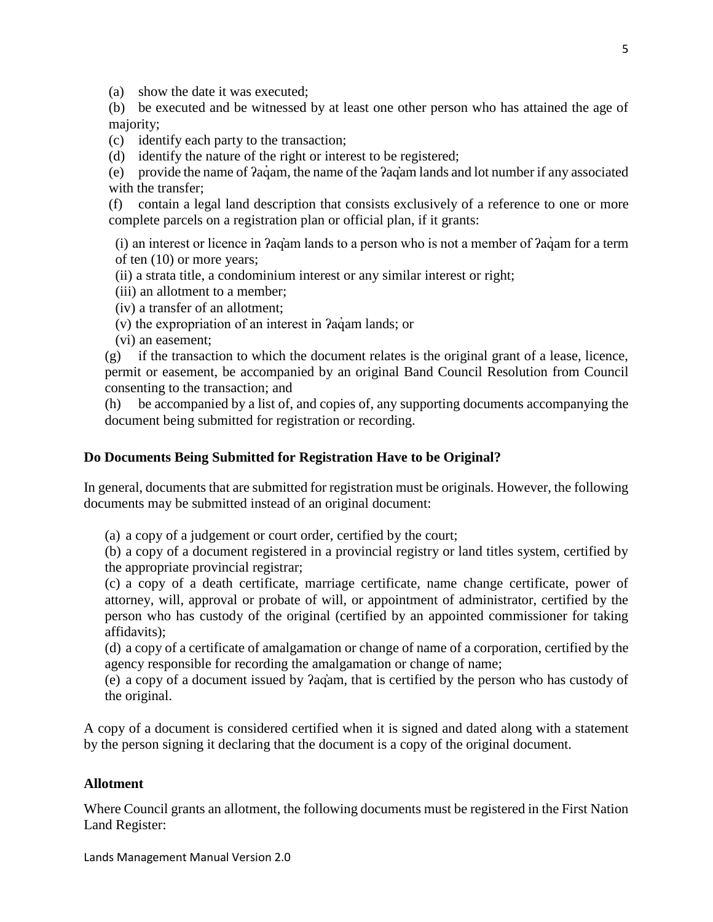(a) show the date it was executed;

(b) be executed and be witnessed by at least one other person who has attained the age of majority;

(c) identify each party to the transaction;

(d) identify the nature of the right or interest to be registered;

(e) provide the name of ʔaq̓ am, the name of the ʔaq̓am lands and lot number if any associated with the transfer:

(f) contain a legal land description that consists exclusively of a reference to one or more complete parcels on a registration plan or official plan, if it grants:

(i) an interest or licence in ʔaq̓am lands to a person who is not a member of ʔaq̓ am for a term of ten (10) or more years;

(ii) a strata title, a condominium interest or any similar interest or right;

(iii) an allotment to a member;

(iv) a transfer of an allotment;

(v) the expropriation of an interest in ʔaq̓ am lands; or

(vi) an easement;

 $(g)$  if the transaction to which the document relates is the original grant of a lease, licence, permit or easement, be accompanied by an original Band Council Resolution from Council consenting to the transaction; and

(h) be accompanied by a list of, and copies of, any supporting documents accompanying the document being submitted for registration or recording.

## **Do Documents Being Submitted for Registration Have to be Original?**

In general, documents that are submitted for registration must be originals. However, the following documents may be submitted instead of an original document:

(a) a copy of a judgement or court order, certified by the court;

(b) a copy of a document registered in a provincial registry or land titles system, certified by the appropriate provincial registrar;

(c) a copy of a death certificate, marriage certificate, name change certificate, power of attorney, will, approval or probate of will, or appointment of administrator, certified by the person who has custody of the original (certified by an appointed commissioner for taking affidavits);

(d) a copy of a certificate of amalgamation or change of name of a corporation, certified by the agency responsible for recording the amalgamation or change of name;

(e) a copy of a document issued by ʔaq̓am, that is certified by the person who has custody of the original.

A copy of a document is considered certified when it is signed and dated along with a statement by the person signing it declaring that the document is a copy of the original document.

#### **Allotment**

Where Council grants an allotment, the following documents must be registered in the First Nation Land Register: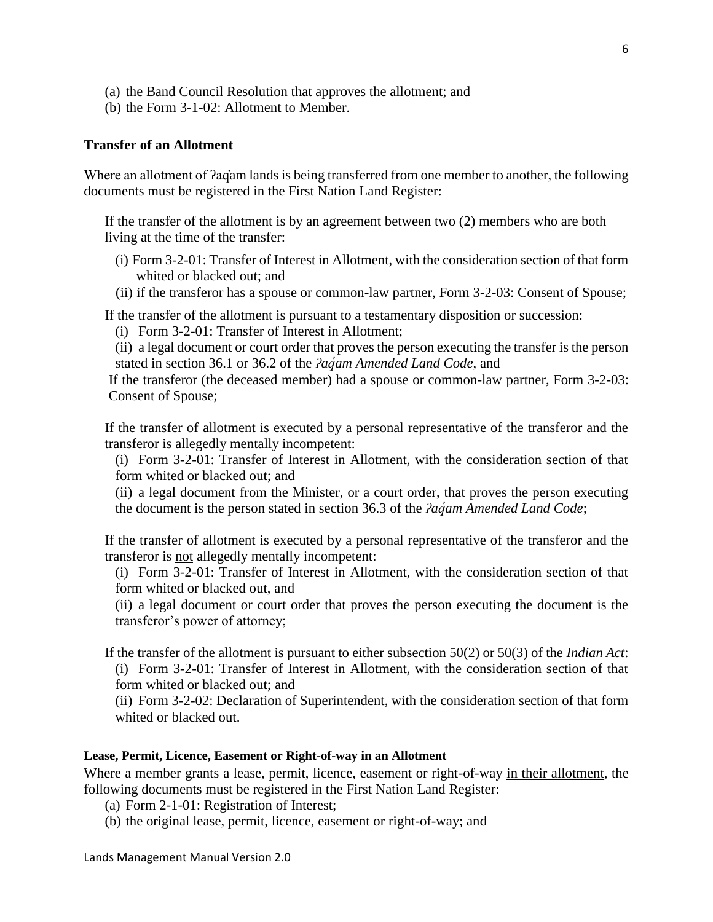- (a) the Band Council Resolution that approves the allotment; and
- (b) the Form 3-1-02: Allotment to Member.

#### **Transfer of an Allotment**

Where an allotment of  $2aq<sub>am</sub>$  lands is being transferred from one member to another, the following documents must be registered in the First Nation Land Register:

If the transfer of the allotment is by an agreement between two (2) members who are both living at the time of the transfer:

- (i) Form 3-2-01: Transfer of Interest in Allotment, with the consideration section of that form whited or blacked out; and
- (ii) if the transferor has a spouse or common-law partner, Form 3-2-03: Consent of Spouse;

If the transfer of the allotment is pursuant to a testamentary disposition or succession:

(i) Form 3-2-01: Transfer of Interest in Allotment;

(ii) a legal document or court order that proves the person executing the transfer is the person stated in section 36.1 or 36.2 of the *ʔaq̓am Amended Land Code*, and

If the transferor (the deceased member) had a spouse or common-law partner, Form 3-2-03: Consent of Spouse;

If the transfer of allotment is executed by a personal representative of the transferor and the transferor is allegedly mentally incompetent:

(i) Form 3-2-01: Transfer of Interest in Allotment, with the consideration section of that form whited or blacked out; and

(ii) a legal document from the Minister, or a court order, that proves the person executing the document is the person stated in section 36.3 of the *ʔaq̓am Amended Land Code*;

If the transfer of allotment is executed by a personal representative of the transferor and the transferor is not allegedly mentally incompetent:

(i) Form 3-2-01: Transfer of Interest in Allotment, with the consideration section of that form whited or blacked out, and

(ii) a legal document or court order that proves the person executing the document is the transferor's power of attorney;

If the transfer of the allotment is pursuant to either subsection 50(2) or 50(3) of the *Indian Act*: (i) Form 3-2-01: Transfer of Interest in Allotment, with the consideration section of that form whited or blacked out; and

(ii) Form 3-2-02: Declaration of Superintendent, with the consideration section of that form whited or blacked out.

#### **Lease, Permit, Licence, Easement or Right-of-way in an Allotment**

Where a member grants a lease, permit, licence, easement or right-of-way in their allotment, the following documents must be registered in the First Nation Land Register:

(a) Form 2-1-01: Registration of Interest;

(b) the original lease, permit, licence, easement or right-of-way; and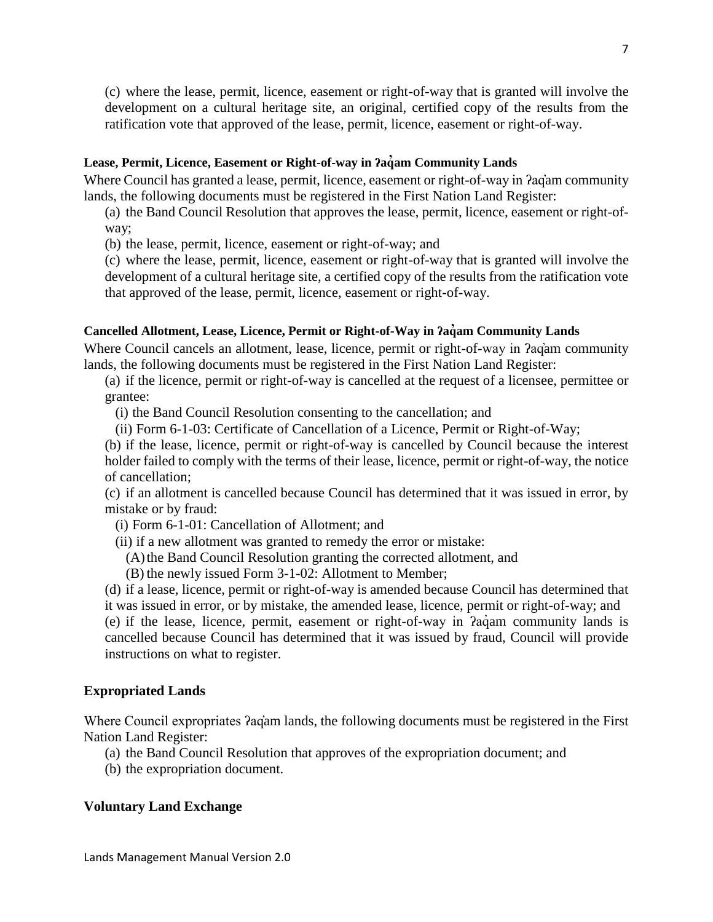(c) where the lease, permit, licence, easement or right-of-way that is granted will involve the development on a cultural heritage site, an original, certified copy of the results from the ratification vote that approved of the lease, permit, licence, easement or right-of-way.

### **Lease, Permit, Licence, Easement or Right-of-way in ʔaq̓am Community Lands**

Where Council has granted a lease, permit, licence, easement or right-of-way in *fag*am community lands, the following documents must be registered in the First Nation Land Register:

(a) the Band Council Resolution that approves the lease, permit, licence, easement or right-ofway;

(b) the lease, permit, licence, easement or right-of-way; and

(c) where the lease, permit, licence, easement or right-of-way that is granted will involve the development of a cultural heritage site, a certified copy of the results from the ratification vote that approved of the lease, permit, licence, easement or right-of-way.

## **Cancelled Allotment, Lease, Licence, Permit or Right-of-Way in ʔaq̓am Community Lands**

Where Council cancels an allotment, lease, licence, permit or right-of-way in *fagam* community lands, the following documents must be registered in the First Nation Land Register:

(a) if the licence, permit or right-of-way is cancelled at the request of a licensee, permittee or grantee:

(i) the Band Council Resolution consenting to the cancellation; and

(ii) Form 6-1-03: Certificate of Cancellation of a Licence, Permit or Right-of-Way;

(b) if the lease, licence, permit or right-of-way is cancelled by Council because the interest holder failed to comply with the terms of their lease, licence, permit or right-of-way, the notice of cancellation;

(c) if an allotment is cancelled because Council has determined that it was issued in error, by mistake or by fraud:

- (i) Form 6-1-01: Cancellation of Allotment; and
- (ii) if a new allotment was granted to remedy the error or mistake:
	- (A)the Band Council Resolution granting the corrected allotment, and
	- (B) the newly issued Form 3-1-02: Allotment to Member;

(d) if a lease, licence, permit or right-of-way is amended because Council has determined that it was issued in error, or by mistake, the amended lease, licence, permit or right-of-way; and (e) if the lease, licence, permit, easement or right-of-way in ʔaq̓ am community lands is cancelled because Council has determined that it was issued by fraud, Council will provide instructions on what to register.

# **Expropriated Lands**

Where Council expropriates ʔaq̓am lands, the following documents must be registered in the First Nation Land Register:

- (a) the Band Council Resolution that approves of the expropriation document; and
- (b) the expropriation document.

#### **Voluntary Land Exchange**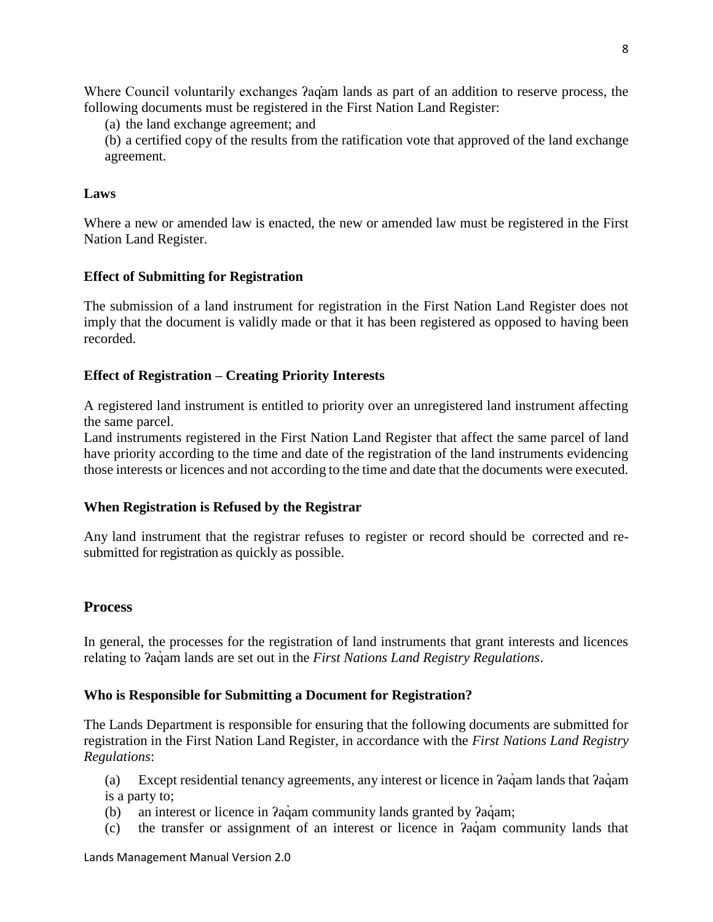Where Council voluntarily exchanges *?ag*'am lands as part of an addition to reserve process, the following documents must be registered in the First Nation Land Register:

(a) the land exchange agreement; and

(b) a certified copy of the results from the ratification vote that approved of the land exchange agreement.

# **Laws**

Where a new or amended law is enacted, the new or amended law must be registered in the First Nation Land Register.

# **Effect of Submitting for Registration**

The submission of a land instrument for registration in the First Nation Land Register does not imply that the document is validly made or that it has been registered as opposed to having been recorded.

# **Effect of Registration – Creating Priority Interests**

A registered land instrument is entitled to priority over an unregistered land instrument affecting the same parcel.

Land instruments registered in the First Nation Land Register that affect the same parcel of land have priority according to the time and date of the registration of the land instruments evidencing those interests or licences and not according to the time and date that the documents were executed.

# **When Registration is Refused by the Registrar**

Any land instrument that the registrar refuses to register or record should be corrected and resubmitted for registration as quickly as possible.

# <span id="page-7-0"></span>**Process**

In general, the processes for the registration of land instruments that grant interests and licences relating to *Pagam lands are set out in the First Nations Land Registry Regulations.* 

# **Who is Responsible for Submitting a Document for Registration?**

The Lands Department is responsible for ensuring that the following documents are submitted for registration in the First Nation Land Register, in accordance with the *First Nations Land Registry Regulations*:

(a) Except residential tenancy agreements, any interest or licence in *Paciam lands that Paciam* is a party to;

- (b) an interest or licence in *Pagam* community lands granted by *Pagam*;
- (c) the transfer or assignment of an interest or licence in  $a$ <sup>a</sup> am community lands that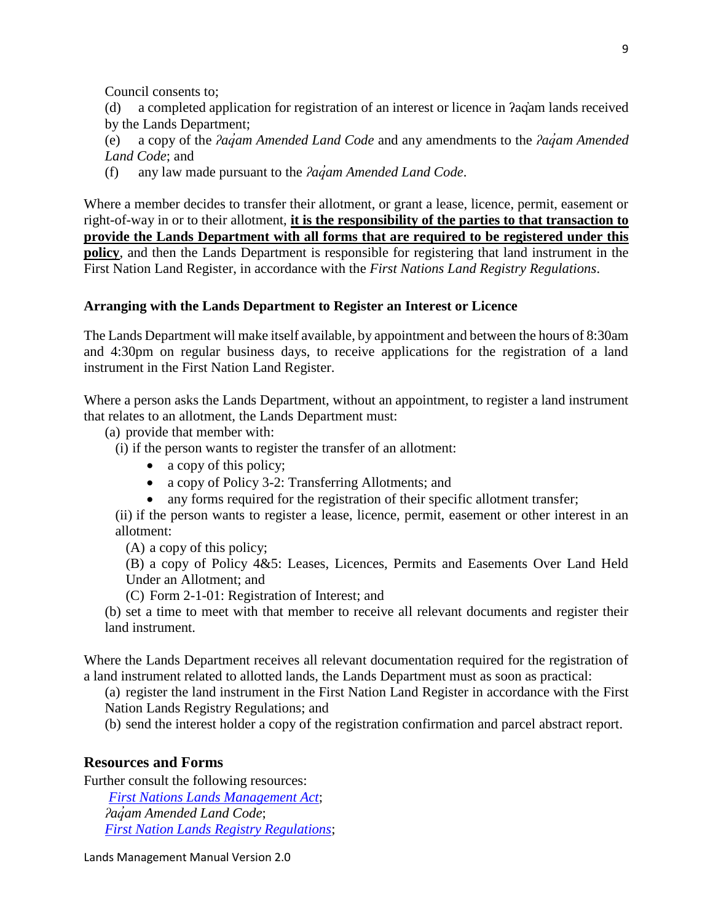Council consents to;

(d) a completed application for registration of an interest or licence in ʔaq̓am lands received by the Lands Department;

(e) a copy of the *ʔaq̓am Amended Land Code* and any amendments to the *ʔaq̓am Amended Land Code*; and

(f) any law made pursuant to the *ʔaq̓am Amended Land Code*.

Where a member decides to transfer their allotment, or grant a lease, licence, permit, easement or right-of-way in or to their allotment, **it is the responsibility of the parties to that transaction to provide the Lands Department with all forms that are required to be registered under this policy**, and then the Lands Department is responsible for registering that land instrument in the First Nation Land Register, in accordance with the *First Nations Land Registry Regulations*.

### **Arranging with the Lands Department to Register an Interest or Licence**

The Lands Department will make itself available, by appointment and between the hours of 8:30am and 4:30pm on regular business days, to receive applications for the registration of a land instrument in the First Nation Land Register.

Where a person asks the Lands Department, without an appointment, to register a land instrument that relates to an allotment, the Lands Department must:

(a) provide that member with:

(i) if the person wants to register the transfer of an allotment:

- a copy of this policy;
- a copy of Policy 3-2: Transferring Allotments; and
- any forms required for the registration of their specific allotment transfer;

(ii) if the person wants to register a lease, licence, permit, easement or other interest in an allotment:

(A) a copy of this policy;

(B) a copy of Policy 4&5: Leases, Licences, Permits and Easements Over Land Held Under an Allotment; and

(C) Form 2-1-01: Registration of Interest; and

(b) set a time to meet with that member to receive all relevant documents and register their land instrument.

Where the Lands Department receives all relevant documentation required for the registration of a land instrument related to allotted lands, the Lands Department must as soon as practical:

(a) register the land instrument in the First Nation Land Register in accordance with the First Nation Lands Registry Regulations; and

(b) send the interest holder a copy of the registration confirmation and parcel abstract report.

# <span id="page-8-0"></span>**Resources and Forms**

Further consult the following resources: *[First Nations Lands Management Act](https://laws-lois.justice.gc.ca/eng/acts/F-11.8/)*; *ʔaq̓am Amended Land Code*; *[First Nation Lands Registry Regulations](file://///aqam1/ReDir$/cfidler/Desktop/First%20Nation%20Lands%20Registry%20Regulations)*;